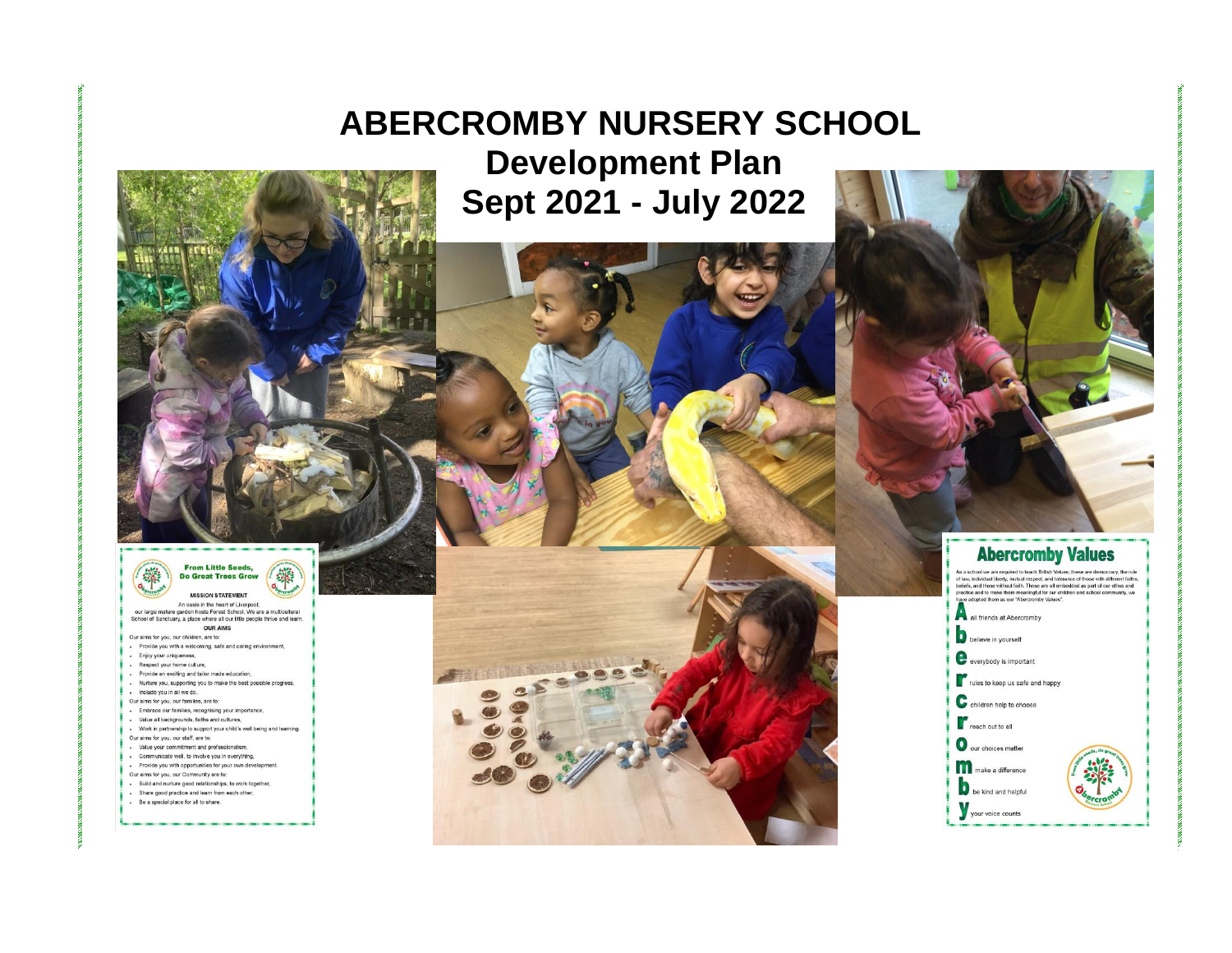# **ABERCROMBY NURSERY SCHOOL Development Plan Sept 2021 - July 2022**



纂 Do Great Trees Grow **MISSION STATEMENT** 

An oasis in the heart of Liverpool;<br>our large mature garden hosts Forest School. We are a multicultural<br>School of Sanctuary, a place where all our little people thrive and learn. **OUR AIMS** 

- Our aims for you, our children, are to:
- . Provide you with a welcoming, safe and caring environment,
- · Enjoy your uniqueness,
- . Respect your home culture,
- . Provide an exciting and tailor made education,
- . Nurture you, supporting you to make the best possible progress,
- . Include you in all we do.
- Our aims for you, our families, are to: - Embrace our families, recognising your importance,
- · Value all backgrounds, faiths and cultures,
- . Work in partnership to support your child's well being and learning.
- Our aims for you, our staff, are to:
- . Value your commitment and professionalism,
- . Communicate well, to involve you in everything,
- Provide you with opportunities for your own develop
- Our aims for you, our Community are to:
- + Build and nurture good relationships, to work together, . Share good practice and learn from each other,
- . Be a special place for all to share.



**Abercromby Values** As a school we are required to teach British Values; these are democracy, the rule of law, individual Berty, mutual respect, and tokence of those with different faiths, and those without faith. These are all embedded as p all friends at Abercromby believe in yourself everybody is important



be kind and helpful

your voice counts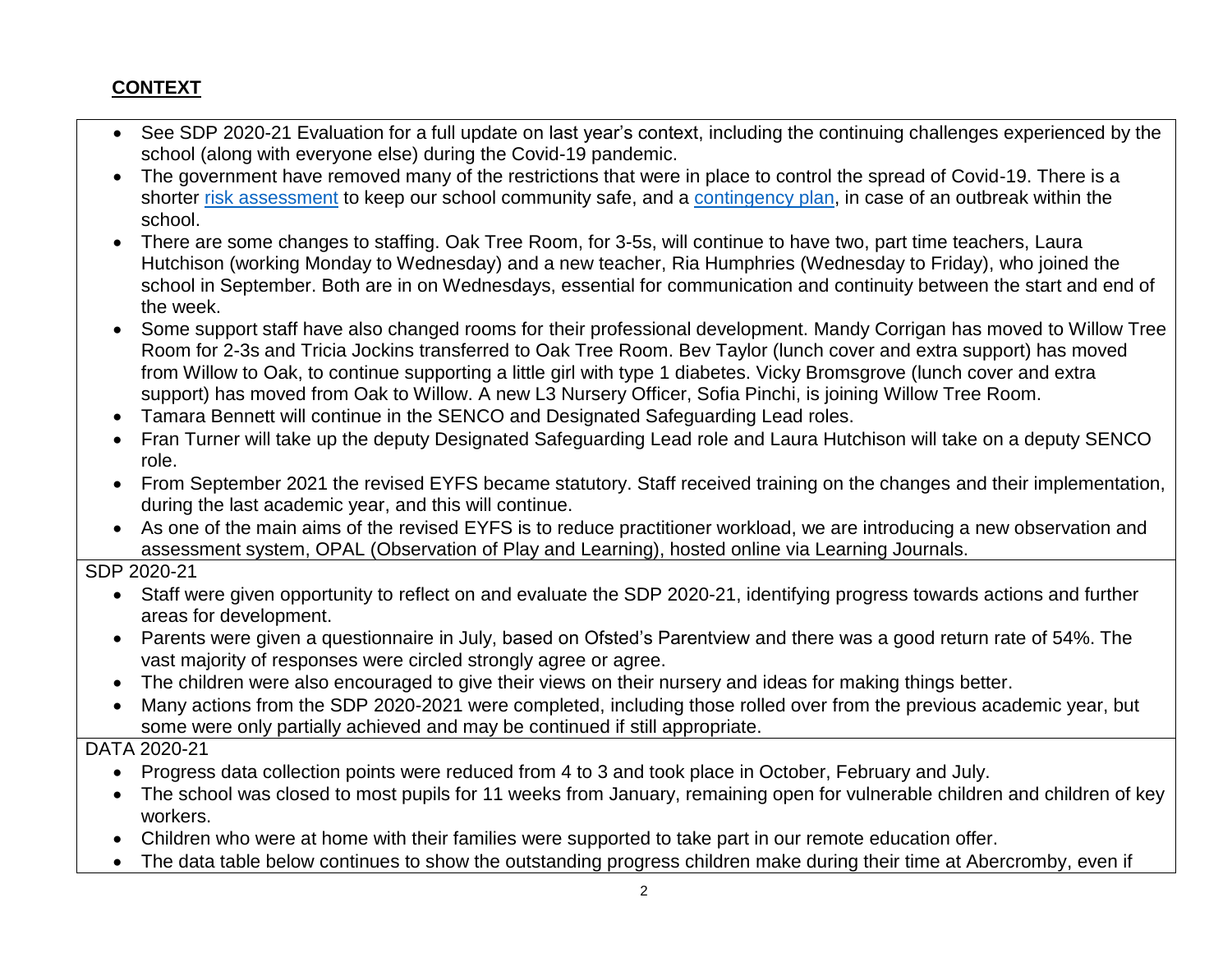#### **CONTEXT**

- See SDP 2020-21 Evaluation for a full update on last year's context, including the continuing challenges experienced by the school (along with everyone else) during the Covid-19 pandemic.
- The government have removed many of the restrictions that were in place to control the spread of Covid-19. There is a shorter [risk assessment](https://abercrombynurseryschool.co.uk/wp-content/uploads/2021/01/Abercromby-COVID-19-risk-assessment-1st-September-2021-1.pdf) to keep our school community safe, and a [contingency plan,](https://abercrombynurseryschool.co.uk/wp-content/uploads/2021/01/Abercromby-Outbreak-Management-Plan-Sept-2021-redacted.pdf) in case of an outbreak within the school.
- There are some changes to staffing. Oak Tree Room, for 3-5s, will continue to have two, part time teachers, Laura Hutchison (working Monday to Wednesday) and a new teacher, Ria Humphries (Wednesday to Friday), who joined the school in September. Both are in on Wednesdays, essential for communication and continuity between the start and end of the week.
- Some support staff have also changed rooms for their professional development. Mandy Corrigan has moved to Willow Tree Room for 2-3s and Tricia Jockins transferred to Oak Tree Room. Bev Taylor (lunch cover and extra support) has moved from Willow to Oak, to continue supporting a little girl with type 1 diabetes. Vicky Bromsgrove (lunch cover and extra support) has moved from Oak to Willow. A new L3 Nursery Officer, Sofia Pinchi, is joining Willow Tree Room.
- Tamara Bennett will continue in the SENCO and Designated Safeguarding Lead roles.
- Fran Turner will take up the deputy Designated Safeguarding Lead role and Laura Hutchison will take on a deputy SENCO role.
- From September 2021 the revised EYFS became statutory. Staff received training on the changes and their implementation, during the last academic year, and this will continue.
- As one of the main aims of the revised EYFS is to reduce practitioner workload, we are introducing a new observation and assessment system, OPAL (Observation of Play and Learning), hosted online via Learning Journals.
- SDP 2020-21
	- Staff were given opportunity to reflect on and evaluate the SDP 2020-21, identifying progress towards actions and further areas for development.
	- Parents were given a questionnaire in July, based on Ofsted's Parentview and there was a good return rate of 54%. The vast majority of responses were circled strongly agree or agree.
	- The children were also encouraged to give their views on their nursery and ideas for making things better.
	- Many actions from the SDP 2020-2021 were completed, including those rolled over from the previous academic year, but some were only partially achieved and may be continued if still appropriate.

DATA 2020-21

- Progress data collection points were reduced from 4 to 3 and took place in October, February and July.
- The school was closed to most pupils for 11 weeks from January, remaining open for vulnerable children and children of key workers.
- Children who were at home with their families were supported to take part in our remote education offer.
- The data table below continues to show the outstanding progress children make during their time at Abercromby, even if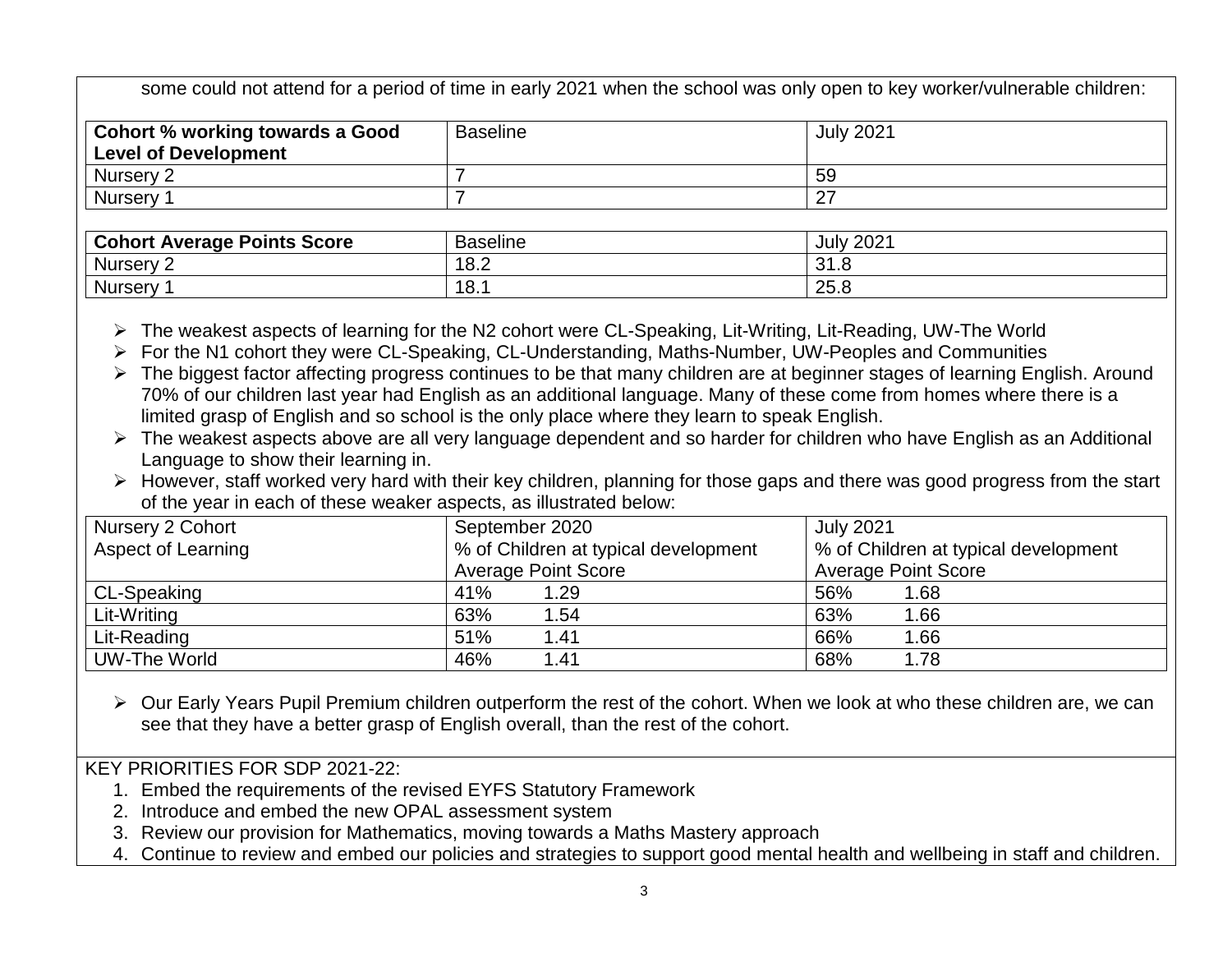some could not attend for a period of time in early 2021 when the school was only open to key worker/vulnerable children:

| <b>Cohort % working towards a Good</b><br><b>Level of Development</b> | <b>Baseline</b> | <b>July 2021</b> |
|-----------------------------------------------------------------------|-----------------|------------------|
| Nursery 2                                                             |                 | 59               |
| <b>Nursery</b>                                                        |                 | ∩-<br><u>_</u>   |

| t Average Points Score<br>Cohort | . .<br>Baseline | ∘ימ∩י<br>July<br>ZUZ. |
|----------------------------------|-----------------|-----------------------|
| <b>Nursery</b>                   | 18.2            | ົາ<br>ں. ا ب          |
| <b>Nursery</b>                   | 18.             | つに<br>∽<br>ں.ں        |

The weakest aspects of learning for the N2 cohort were CL-Speaking, Lit-Writing, Lit-Reading, UW-The World

For the N1 cohort they were CL-Speaking, CL-Understanding, Maths-Number, UW-Peoples and Communities

- > The biggest factor affecting progress continues to be that many children are at beginner stages of learning English. Around 70% of our children last year had English as an additional language. Many of these come from homes where there is a limited grasp of English and so school is the only place where they learn to speak English.
- $\triangleright$  The weakest aspects above are all very language dependent and so harder for children who have English as an Additional Language to show their learning in.
- However, staff worked very hard with their key children, planning for those gaps and there was good progress from the start of the year in each of these weaker aspects, as illustrated below:

| Nursery 2 Cohort   | September 2020                       | <b>July 2021</b>                     |
|--------------------|--------------------------------------|--------------------------------------|
| Aspect of Learning | % of Children at typical development | % of Children at typical development |
|                    | <b>Average Point Score</b>           | <b>Average Point Score</b>           |
| <b>CL-Speaking</b> | 41%<br>1.29                          | 56%<br>1.68                          |
| Lit-Writing        | 63%<br>1.54                          | 63%<br>1.66                          |
| Lit-Reading        | 51%<br>1.41                          | 66%<br>1.66                          |
| UW-The World       | 46%<br>1.41                          | 68%<br>1.78                          |

 $\triangleright$  Our Early Years Pupil Premium children outperform the rest of the cohort. When we look at who these children are, we can see that they have a better grasp of English overall, than the rest of the cohort.

KEY PRIORITIES FOR SDP 2021-22:

- 1. Embed the requirements of the revised EYFS Statutory Framework
- 2. Introduce and embed the new OPAL assessment system
- 3. Review our provision for Mathematics, moving towards a Maths Mastery approach
- 4. Continue to review and embed our policies and strategies to support good mental health and wellbeing in staff and children.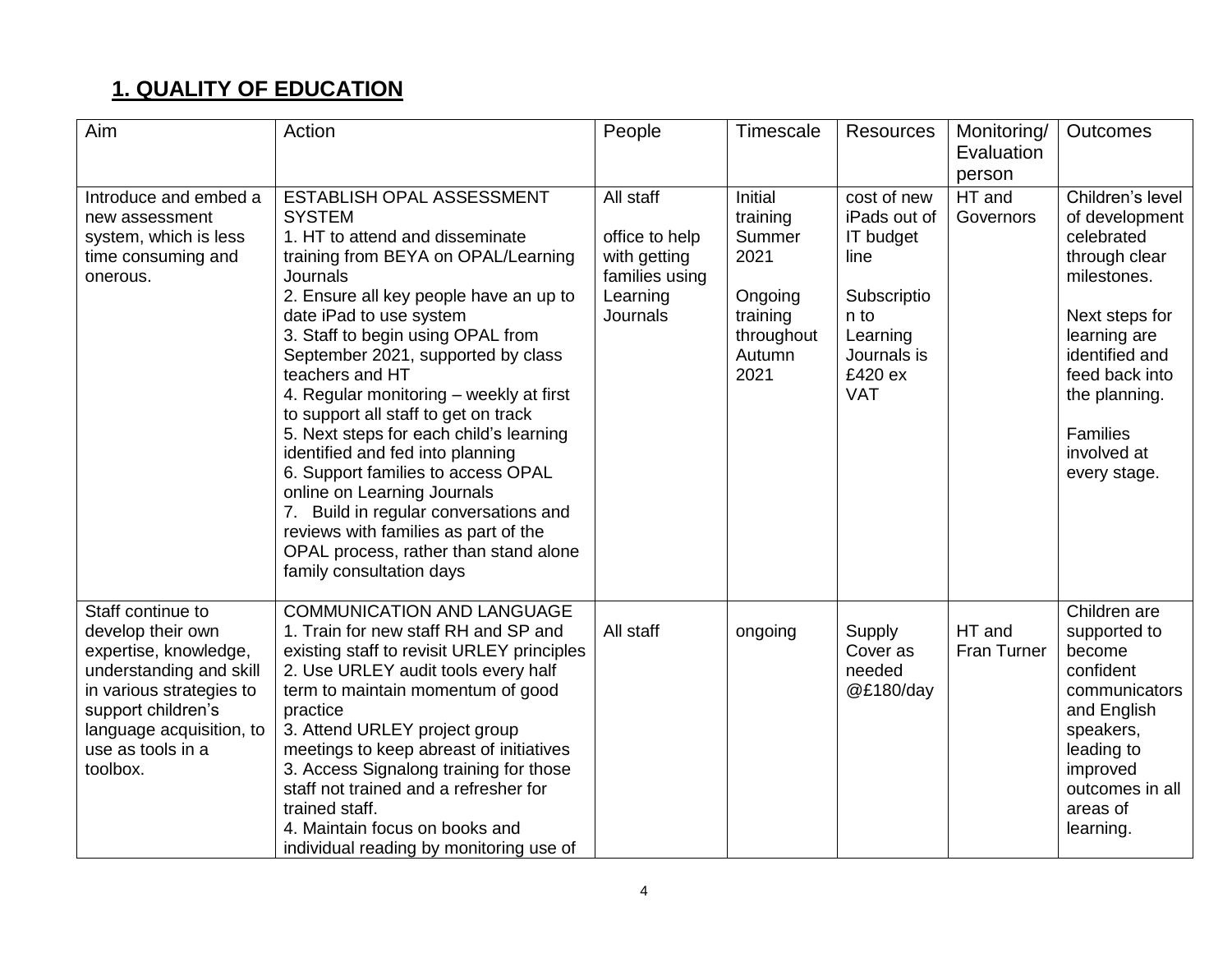# **1. QUALITY OF EDUCATION**

| Aim                                                                                                                                                                                                       | Action                                                                                                                                                                                                                                                                                                                                                                                                                                                                                                                                                                                                                                                                                                  | People                                                                                | Timescale                                                                                           | Resources                                                                                                                          | Monitoring/<br>Evaluation<br>person | Outcomes                                                                                                                                                                                                           |
|-----------------------------------------------------------------------------------------------------------------------------------------------------------------------------------------------------------|---------------------------------------------------------------------------------------------------------------------------------------------------------------------------------------------------------------------------------------------------------------------------------------------------------------------------------------------------------------------------------------------------------------------------------------------------------------------------------------------------------------------------------------------------------------------------------------------------------------------------------------------------------------------------------------------------------|---------------------------------------------------------------------------------------|-----------------------------------------------------------------------------------------------------|------------------------------------------------------------------------------------------------------------------------------------|-------------------------------------|--------------------------------------------------------------------------------------------------------------------------------------------------------------------------------------------------------------------|
| Introduce and embed a<br>new assessment<br>system, which is less<br>time consuming and<br>onerous.                                                                                                        | ESTABLISH OPAL ASSESSMENT<br><b>SYSTEM</b><br>1. HT to attend and disseminate<br>training from BEYA on OPAL/Learning<br><b>Journals</b><br>2. Ensure all key people have an up to<br>date iPad to use system<br>3. Staff to begin using OPAL from<br>September 2021, supported by class<br>teachers and HT<br>4. Regular monitoring - weekly at first<br>to support all staff to get on track<br>5. Next steps for each child's learning<br>identified and fed into planning<br>6. Support families to access OPAL<br>online on Learning Journals<br>7. Build in regular conversations and<br>reviews with families as part of the<br>OPAL process, rather than stand alone<br>family consultation days | All staff<br>office to help<br>with getting<br>families using<br>Learning<br>Journals | <b>Initial</b><br>training<br>Summer<br>2021<br>Ongoing<br>training<br>throughout<br>Autumn<br>2021 | cost of new<br>iPads out of<br><b>IT</b> budget<br>line<br>Subscriptio<br>n to<br>Learning<br>Journals is<br>£420 ex<br><b>VAT</b> | HT and<br>Governors                 | Children's level<br>of development<br>celebrated<br>through clear<br>milestones.<br>Next steps for<br>learning are<br>identified and<br>feed back into<br>the planning.<br>Families<br>involved at<br>every stage. |
| Staff continue to<br>develop their own<br>expertise, knowledge,<br>understanding and skill<br>in various strategies to<br>support children's<br>language acquisition, to<br>use as tools in a<br>toolbox. | <b>COMMUNICATION AND LANGUAGE</b><br>1. Train for new staff RH and SP and<br>existing staff to revisit URLEY principles<br>2. Use URLEY audit tools every half<br>term to maintain momentum of good<br>practice<br>3. Attend URLEY project group<br>meetings to keep abreast of initiatives<br>3. Access Signalong training for those<br>staff not trained and a refresher for<br>trained staff.<br>4. Maintain focus on books and<br>individual reading by monitoring use of                                                                                                                                                                                                                           | All staff                                                                             | ongoing                                                                                             | Supply<br>Cover as<br>needed<br>@£180/day                                                                                          | HT and<br>Fran Turner               | Children are<br>supported to<br>become<br>confident<br>communicators<br>and English<br>speakers,<br>leading to<br>improved<br>outcomes in all<br>areas of<br>learning.                                             |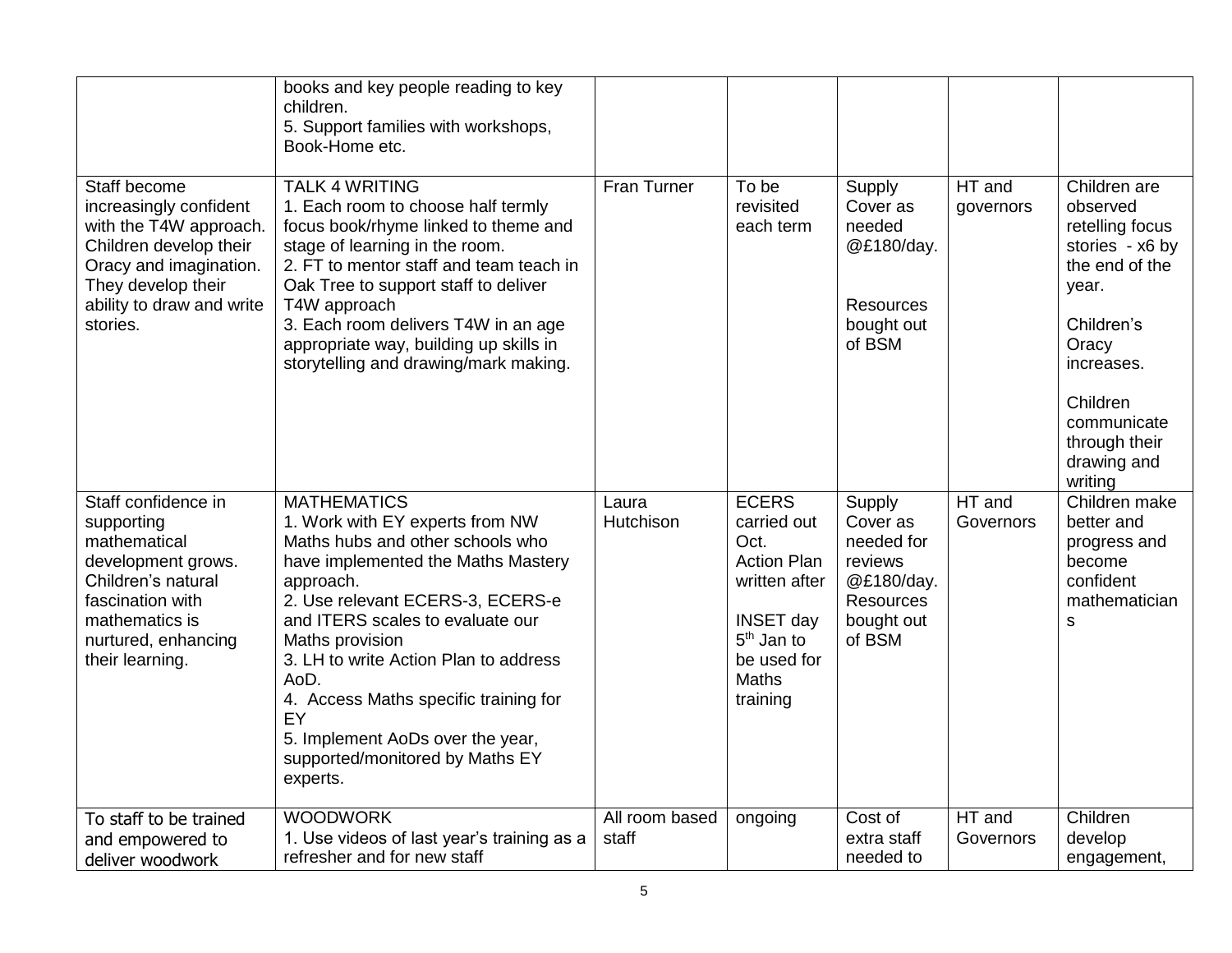|                                                                                                                                                                                     | books and key people reading to key<br>children.<br>5. Support families with workshops,<br>Book-Home etc.                                                                                                                                                                                                                                                                                                                  |                         |                                                                                                                                                              |                                                                                                       |                     |                                                                                                                                                                                                      |
|-------------------------------------------------------------------------------------------------------------------------------------------------------------------------------------|----------------------------------------------------------------------------------------------------------------------------------------------------------------------------------------------------------------------------------------------------------------------------------------------------------------------------------------------------------------------------------------------------------------------------|-------------------------|--------------------------------------------------------------------------------------------------------------------------------------------------------------|-------------------------------------------------------------------------------------------------------|---------------------|------------------------------------------------------------------------------------------------------------------------------------------------------------------------------------------------------|
| Staff become<br>increasingly confident<br>with the T4W approach.<br>Children develop their<br>Oracy and imagination.<br>They develop their<br>ability to draw and write<br>stories. | <b>TALK 4 WRITING</b><br>1. Each room to choose half termly<br>focus book/rhyme linked to theme and<br>stage of learning in the room.<br>2. FT to mentor staff and team teach in<br>Oak Tree to support staff to deliver<br>T4W approach<br>3. Each room delivers T4W in an age<br>appropriate way, building up skills in<br>storytelling and drawing/mark making.                                                         | Fran Turner             | To be<br>revisited<br>each term                                                                                                                              | Supply<br>Cover as<br>needed<br>@£180/day.<br><b>Resources</b><br>bought out<br>of BSM                | HT and<br>governors | Children are<br>observed<br>retelling focus<br>stories - x6 by<br>the end of the<br>year.<br>Children's<br>Oracy<br>increases.<br>Children<br>communicate<br>through their<br>drawing and<br>writing |
| Staff confidence in<br>supporting<br>mathematical<br>development grows.<br>Children's natural<br>fascination with<br>mathematics is<br>nurtured, enhancing<br>their learning.       | <b>MATHEMATICS</b><br>1. Work with EY experts from NW<br>Maths hubs and other schools who<br>have implemented the Maths Mastery<br>approach.<br>2. Use relevant ECERS-3, ECERS-e<br>and ITERS scales to evaluate our<br>Maths provision<br>3. LH to write Action Plan to address<br>AoD.<br>4. Access Maths specific training for<br>EY<br>5. Implement AoDs over the year,<br>supported/monitored by Maths EY<br>experts. | Laura<br>Hutchison      | <b>ECERS</b><br>carried out<br>Oct.<br><b>Action Plan</b><br>written after<br><b>INSET day</b><br>5 <sup>th</sup> Jan to<br>be used for<br>Maths<br>training | Supply<br>Cover as<br>needed for<br>reviews<br>@£180/day.<br><b>Resources</b><br>bought out<br>of BSM | HT and<br>Governors | Children make<br>better and<br>progress and<br>become<br>confident<br>mathematician<br>S                                                                                                             |
| To staff to be trained<br>and empowered to<br>deliver woodwork                                                                                                                      | <b>WOODWORK</b><br>1. Use videos of last year's training as a<br>refresher and for new staff                                                                                                                                                                                                                                                                                                                               | All room based<br>staff | ongoing                                                                                                                                                      | Cost of<br>extra staff<br>needed to                                                                   | HT and<br>Governors | Children<br>develop<br>engagement,                                                                                                                                                                   |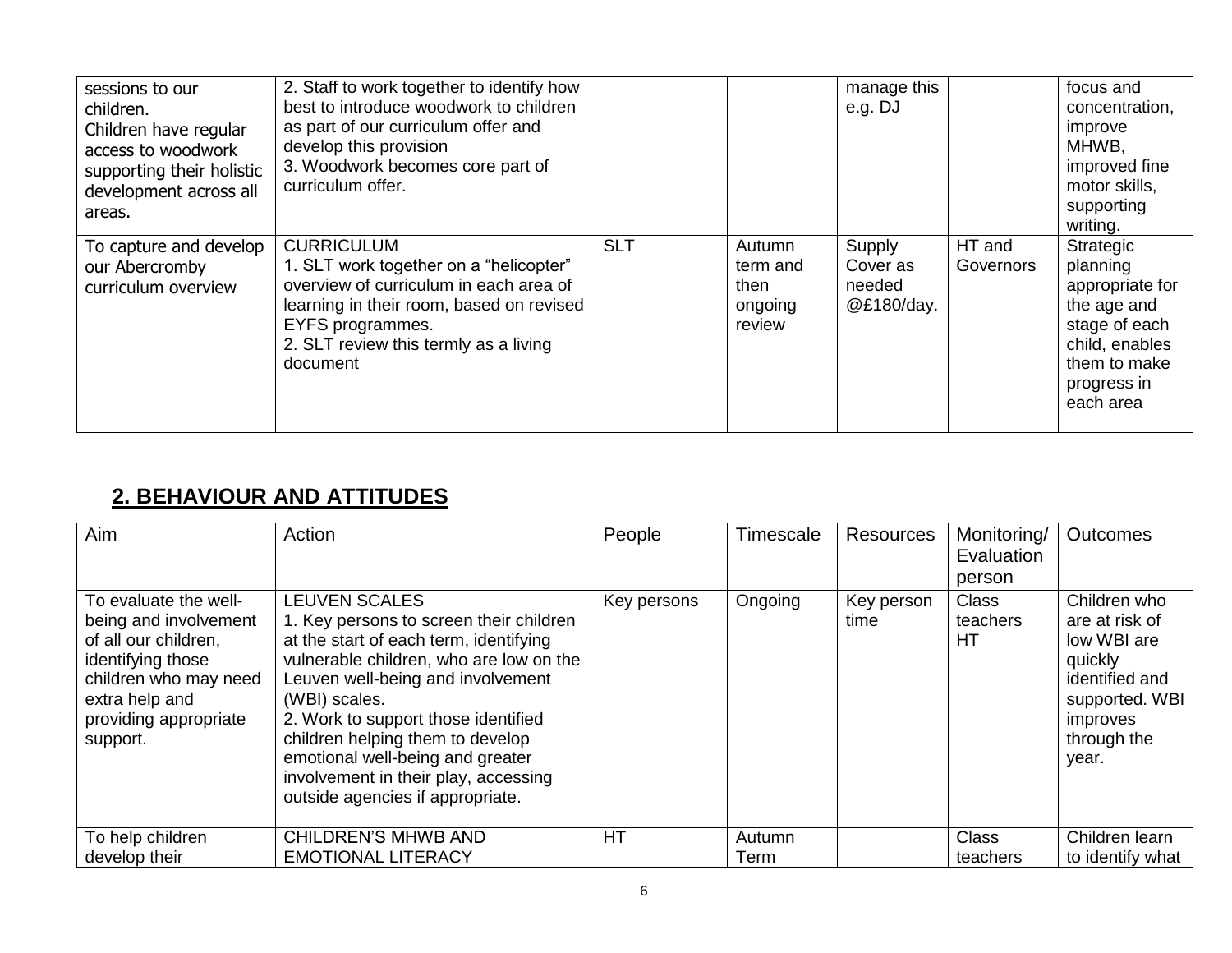| sessions to our<br>children.<br>Children have regular<br>access to woodwork<br>supporting their holistic<br>development across all<br>areas. | 2. Staff to work together to identify how<br>best to introduce woodwork to children<br>as part of our curriculum offer and<br>develop this provision<br>3. Woodwork becomes core part of<br>curriculum offer.              |            |                                                 | manage this<br>e.g. DJ                     |                     | focus and<br>concentration,<br>improve<br>MHWB,<br>improved fine<br>motor skills,<br>supporting<br>writing.                            |
|----------------------------------------------------------------------------------------------------------------------------------------------|----------------------------------------------------------------------------------------------------------------------------------------------------------------------------------------------------------------------------|------------|-------------------------------------------------|--------------------------------------------|---------------------|----------------------------------------------------------------------------------------------------------------------------------------|
| To capture and develop<br>our Abercromby<br>curriculum overview                                                                              | <b>CURRICULUM</b><br>1. SLT work together on a "helicopter"<br>overview of curriculum in each area of<br>learning in their room, based on revised<br>EYFS programmes.<br>2. SLT review this termly as a living<br>document | <b>SLT</b> | Autumn<br>term and<br>then<br>ongoing<br>review | Supply<br>Cover as<br>needed<br>@£180/day. | HT and<br>Governors | Strategic<br>planning<br>appropriate for<br>the age and<br>stage of each<br>child, enables<br>them to make<br>progress in<br>each area |

### **2. BEHAVIOUR AND ATTITUDES**

| Aim                                                                                                                                                                         | Action                                                                                                                                                                                                                                                                                                                                                                                                | People      | Timescale      | Resources          | Monitoring/<br>Evaluation<br>person | <b>Outcomes</b>                                                                                                                  |
|-----------------------------------------------------------------------------------------------------------------------------------------------------------------------------|-------------------------------------------------------------------------------------------------------------------------------------------------------------------------------------------------------------------------------------------------------------------------------------------------------------------------------------------------------------------------------------------------------|-------------|----------------|--------------------|-------------------------------------|----------------------------------------------------------------------------------------------------------------------------------|
| To evaluate the well-<br>being and involvement<br>of all our children,<br>identifying those<br>children who may need<br>extra help and<br>providing appropriate<br>support. | <b>LEUVEN SCALES</b><br>1. Key persons to screen their children<br>at the start of each term, identifying<br>vulnerable children, who are low on the<br>Leuven well-being and involvement<br>(WBI) scales.<br>2. Work to support those identified<br>children helping them to develop<br>emotional well-being and greater<br>involvement in their play, accessing<br>outside agencies if appropriate. | Key persons | Ongoing        | Key person<br>time | <b>Class</b><br>teachers<br>HT      | Children who<br>are at risk of<br>low WBI are<br>quickly<br>identified and<br>supported. WBI<br>improves<br>through the<br>year. |
| To help children<br>develop their                                                                                                                                           | <b>CHILDREN'S MHWB AND</b><br><b>EMOTIONAL LITERACY</b>                                                                                                                                                                                                                                                                                                                                               | HT          | Autumn<br>Term |                    | <b>Class</b><br>teachers            | Children learn<br>to identify what                                                                                               |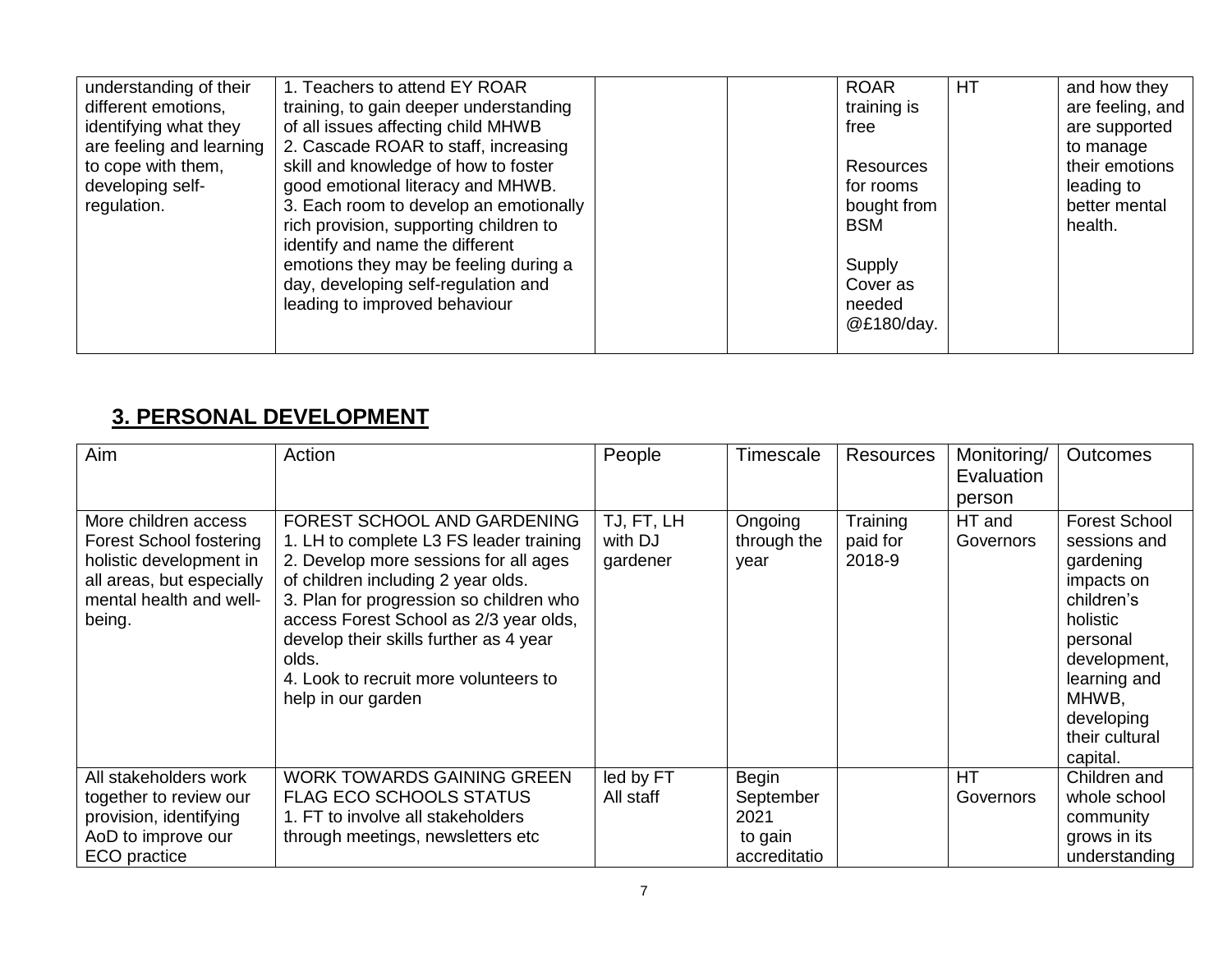| understanding of their<br>different emotions,<br>identifying what they<br>are feeling and learning<br>to cope with them,<br>developing self-<br>regulation. | 1. Teachers to attend EY ROAR<br>training, to gain deeper understanding<br>of all issues affecting child MHWB<br>2. Cascade ROAR to staff, increasing<br>skill and knowledge of how to foster<br>good emotional literacy and MHWB.<br>3. Each room to develop an emotionally<br>rich provision, supporting children to<br>identify and name the different<br>emotions they may be feeling during a<br>day, developing self-regulation and<br>leading to improved behaviour | <b>ROAR</b><br>training is<br>free<br>Resources<br>for rooms<br>bought from<br><b>BSM</b><br>Supply<br>Cover as<br>needed | <b>HT</b> | and how they<br>are feeling, and<br>are supported<br>to manage<br>their emotions<br>leading to<br>better mental<br>health. |
|-------------------------------------------------------------------------------------------------------------------------------------------------------------|----------------------------------------------------------------------------------------------------------------------------------------------------------------------------------------------------------------------------------------------------------------------------------------------------------------------------------------------------------------------------------------------------------------------------------------------------------------------------|---------------------------------------------------------------------------------------------------------------------------|-----------|----------------------------------------------------------------------------------------------------------------------------|
|                                                                                                                                                             |                                                                                                                                                                                                                                                                                                                                                                                                                                                                            | @£180/day.                                                                                                                |           |                                                                                                                            |

# **3. PERSONAL DEVELOPMENT**

| Aim                                                                                                                                          | Action                                                                                                                                                                                                                                                                                                                                                       | People                            | Timescale                      | Resources                      | Monitoring/<br>Evaluation<br>person | <b>Outcomes</b>                                                                                                                                                                            |
|----------------------------------------------------------------------------------------------------------------------------------------------|--------------------------------------------------------------------------------------------------------------------------------------------------------------------------------------------------------------------------------------------------------------------------------------------------------------------------------------------------------------|-----------------------------------|--------------------------------|--------------------------------|-------------------------------------|--------------------------------------------------------------------------------------------------------------------------------------------------------------------------------------------|
| More children access<br>Forest School fostering<br>holistic development in<br>all areas, but especially<br>mental health and well-<br>being. | FOREST SCHOOL AND GARDENING<br>1. LH to complete L3 FS leader training<br>2. Develop more sessions for all ages<br>of children including 2 year olds.<br>3. Plan for progression so children who<br>access Forest School as 2/3 year olds,<br>develop their skills further as 4 year<br>olds.<br>4. Look to recruit more volunteers to<br>help in our garden | TJ, FT, LH<br>with DJ<br>gardener | Ongoing<br>through the<br>year | Training<br>paid for<br>2018-9 | HT and<br>Governors                 | <b>Forest School</b><br>sessions and<br>gardening<br>impacts on<br>children's<br>holistic<br>personal<br>development,<br>learning and<br>MHWB,<br>developing<br>their cultural<br>capital. |
| All stakeholders work<br>together to review our                                                                                              | <b>WORK TOWARDS GAINING GREEN</b><br>FLAG ECO SCHOOLS STATUS                                                                                                                                                                                                                                                                                                 | led by FT<br>All staff            | <b>Begin</b><br>September      |                                | <b>HT</b><br>Governors              | Children and<br>whole school                                                                                                                                                               |
| provision, identifying<br>AoD to improve our                                                                                                 | 1. FT to involve all stakeholders<br>through meetings, newsletters etc                                                                                                                                                                                                                                                                                       |                                   | 2021<br>to gain                |                                |                                     | community<br>grows in its                                                                                                                                                                  |
| ECO practice                                                                                                                                 |                                                                                                                                                                                                                                                                                                                                                              |                                   | accreditatio                   |                                |                                     | understanding                                                                                                                                                                              |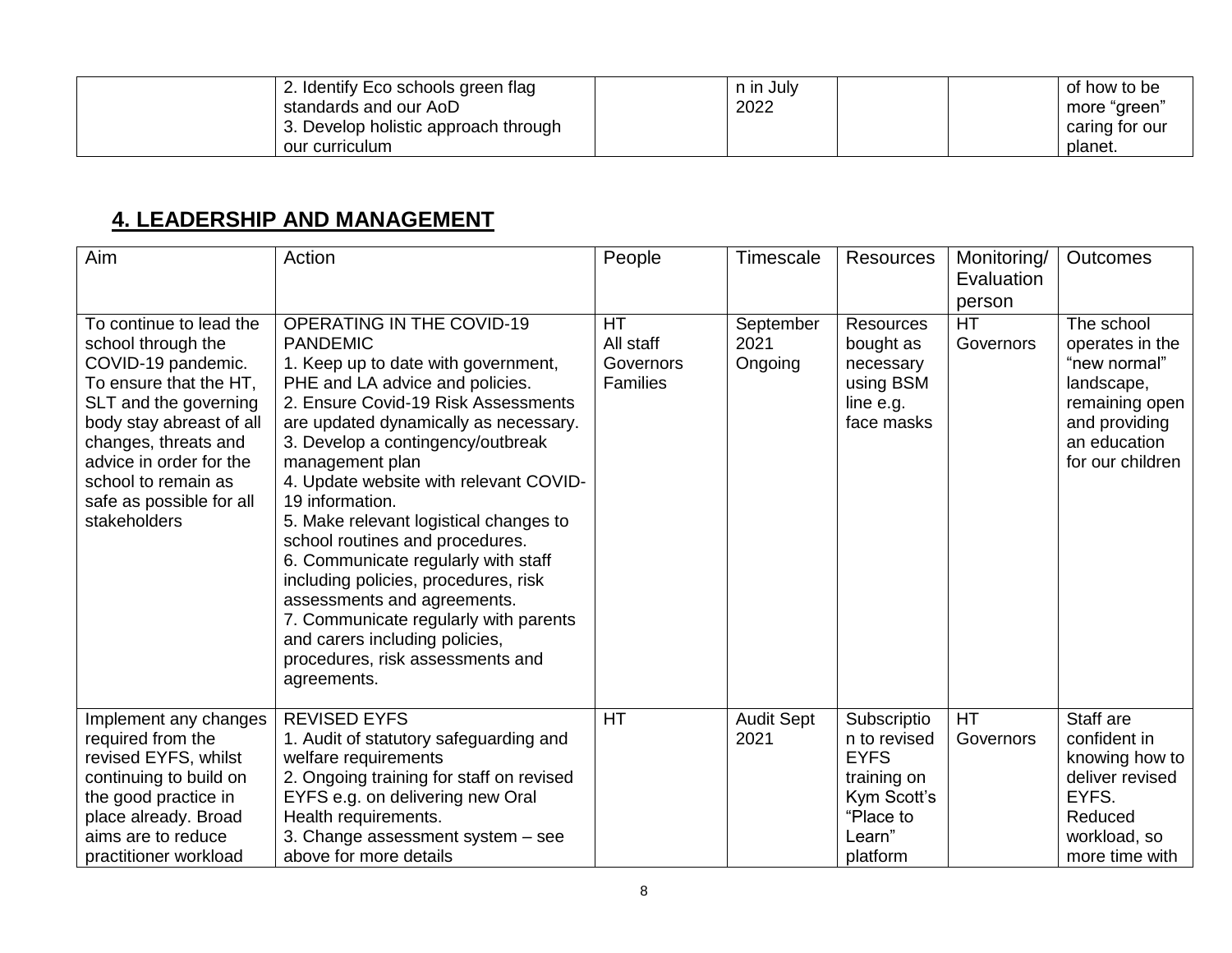|                | 2. Identify Eco schools green flag   | n in July | of how to be   |
|----------------|--------------------------------------|-----------|----------------|
|                | standards and our AoD                | 2022      | more "green"   |
|                | 3. Develop holistic approach through |           | caring for our |
| our curriculum |                                      |           | planet.        |

#### **4. LEADERSHIP AND MANAGEMENT**

| Aim                                                                                                                                                                                                                                                                      | Action                                                                                                                                                                                                                                                                                                                                                                                                                                                                                                                                                                                                                                                      | People                                                 | Timescale                    | <b>Resources</b>                                                                                            | Monitoring/<br>Evaluation<br>person | <b>Outcomes</b>                                                                                                                    |
|--------------------------------------------------------------------------------------------------------------------------------------------------------------------------------------------------------------------------------------------------------------------------|-------------------------------------------------------------------------------------------------------------------------------------------------------------------------------------------------------------------------------------------------------------------------------------------------------------------------------------------------------------------------------------------------------------------------------------------------------------------------------------------------------------------------------------------------------------------------------------------------------------------------------------------------------------|--------------------------------------------------------|------------------------------|-------------------------------------------------------------------------------------------------------------|-------------------------------------|------------------------------------------------------------------------------------------------------------------------------------|
| To continue to lead the<br>school through the<br>COVID-19 pandemic.<br>To ensure that the HT,<br>SLT and the governing<br>body stay abreast of all<br>changes, threats and<br>advice in order for the<br>school to remain as<br>safe as possible for all<br>stakeholders | <b>OPERATING IN THE COVID-19</b><br><b>PANDEMIC</b><br>1. Keep up to date with government,<br>PHE and LA advice and policies.<br>2. Ensure Covid-19 Risk Assessments<br>are updated dynamically as necessary.<br>3. Develop a contingency/outbreak<br>management plan<br>4. Update website with relevant COVID-<br>19 information.<br>5. Make relevant logistical changes to<br>school routines and procedures.<br>6. Communicate regularly with staff<br>including policies, procedures, risk<br>assessments and agreements.<br>7. Communicate regularly with parents<br>and carers including policies,<br>procedures, risk assessments and<br>agreements. | <b>HT</b><br>All staff<br>Governors<br><b>Families</b> | September<br>2021<br>Ongoing | <b>Resources</b><br>bought as<br>necessary<br>using BSM<br>line e.g.<br>face masks                          | <b>HT</b><br>Governors              | The school<br>operates in the<br>"new normal"<br>landscape,<br>remaining open<br>and providing<br>an education<br>for our children |
| Implement any changes<br>required from the<br>revised EYFS, whilst<br>continuing to build on<br>the good practice in<br>place already. Broad<br>aims are to reduce<br>practitioner workload                                                                              | <b>REVISED EYFS</b><br>1. Audit of statutory safeguarding and<br>welfare requirements<br>2. Ongoing training for staff on revised<br>EYFS e.g. on delivering new Oral<br>Health requirements.<br>3. Change assessment system - see<br>above for more details                                                                                                                                                                                                                                                                                                                                                                                                | <b>HT</b>                                              | <b>Audit Sept</b><br>2021    | Subscriptio<br>n to revised<br><b>EYFS</b><br>training on<br>Kym Scott's<br>"Place to<br>Learn"<br>platform | <b>HT</b><br>Governors              | Staff are<br>confident in<br>knowing how to<br>deliver revised<br>EYFS.<br>Reduced<br>workload, so<br>more time with               |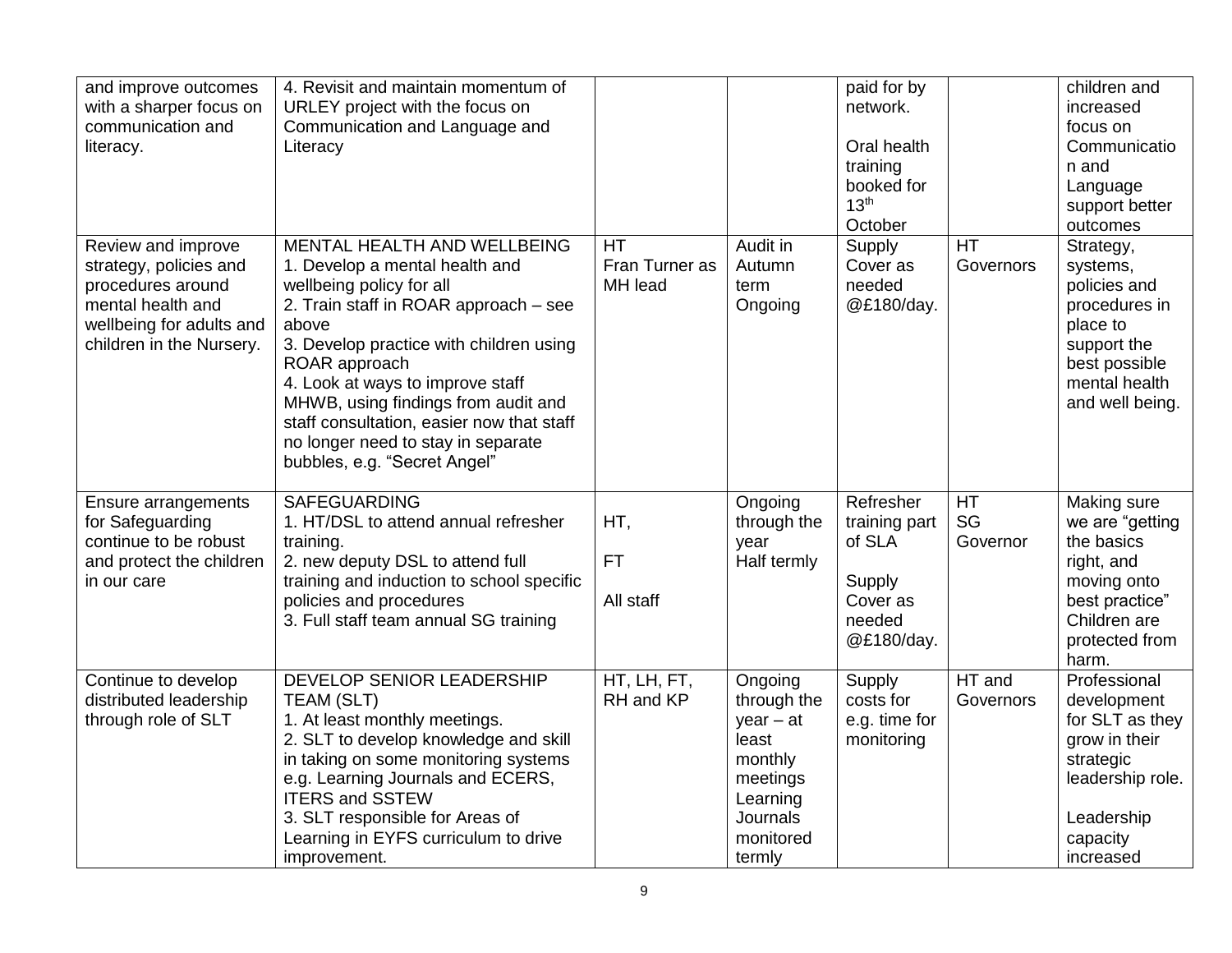| and improve outcomes<br>with a sharper focus on<br>communication and<br>literacy.                                                              | 4. Revisit and maintain momentum of<br>URLEY project with the focus on<br>Communication and Language and<br>Literacy                                                                                                                                                                                                                                                                                  |                                 |                                                                                                                      | paid for by<br>network.<br>Oral health<br>training<br>booked for<br>13 <sup>th</sup><br>October |                        | children and<br>increased<br>focus on<br>Communicatio<br>n and<br>Language<br>support better<br>outcomes                                |
|------------------------------------------------------------------------------------------------------------------------------------------------|-------------------------------------------------------------------------------------------------------------------------------------------------------------------------------------------------------------------------------------------------------------------------------------------------------------------------------------------------------------------------------------------------------|---------------------------------|----------------------------------------------------------------------------------------------------------------------|-------------------------------------------------------------------------------------------------|------------------------|-----------------------------------------------------------------------------------------------------------------------------------------|
| Review and improve<br>strategy, policies and<br>procedures around<br>mental health and<br>wellbeing for adults and<br>children in the Nursery. | MENTAL HEALTH AND WELLBEING<br>1. Develop a mental health and<br>wellbeing policy for all<br>2. Train staff in ROAR approach - see<br>above<br>3. Develop practice with children using<br>ROAR approach<br>4. Look at ways to improve staff<br>MHWB, using findings from audit and<br>staff consultation, easier now that staff<br>no longer need to stay in separate<br>bubbles, e.g. "Secret Angel" | HT<br>Fran Turner as<br>MH lead | Audit in<br>Autumn<br>term<br>Ongoing                                                                                | Supply<br>Cover as<br>needed<br>@£180/day.                                                      | <b>HT</b><br>Governors | Strategy,<br>systems,<br>policies and<br>procedures in<br>place to<br>support the<br>best possible<br>mental health<br>and well being.  |
| <b>Ensure arrangements</b><br>for Safeguarding<br>continue to be robust<br>and protect the children<br>in our care                             | <b>SAFEGUARDING</b><br>1. HT/DSL to attend annual refresher<br>training.<br>2. new deputy DSL to attend full<br>training and induction to school specific<br>policies and procedures<br>3. Full staff team annual SG training                                                                                                                                                                         | HT,<br><b>FT</b><br>All staff   | Ongoing<br>through the<br>year<br>Half termly                                                                        | Refresher<br>training part<br>of SLA<br>Supply<br>Cover as<br>needed<br>@£180/day.              | HT<br>SG<br>Governor   | Making sure<br>we are "getting<br>the basics<br>right, and<br>moving onto<br>best practice"<br>Children are<br>protected from<br>harm.  |
| Continue to develop<br>distributed leadership<br>through role of SLT                                                                           | DEVELOP SENIOR LEADERSHIP<br><b>TEAM (SLT)</b><br>1. At least monthly meetings.<br>2. SLT to develop knowledge and skill<br>in taking on some monitoring systems<br>e.g. Learning Journals and ECERS,<br><b>ITERS and SSTEW</b><br>3. SLT responsible for Areas of<br>Learning in EYFS curriculum to drive<br>improvement.                                                                            | HT, LH, FT,<br>RH and KP        | Ongoing<br>through the<br>$year - at$<br>least<br>monthly<br>meetings<br>Learning<br>Journals<br>monitored<br>termly | Supply<br>costs for<br>e.g. time for<br>monitoring                                              | HT and<br>Governors    | Professional<br>development<br>for SLT as they<br>grow in their<br>strategic<br>leadership role.<br>Leadership<br>capacity<br>increased |